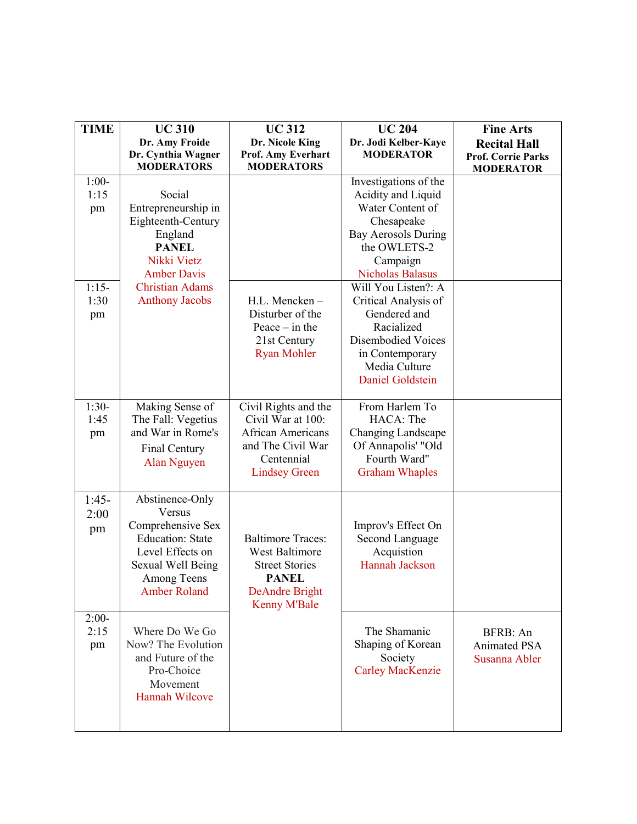| <b>TIME</b>                      | <b>UC 310</b>                                                                                                                                            | <b>UC312</b>                                                                                                                               | <b>UC 204</b>                                                                                                                                                         | <b>Fine Arts</b>                                                     |
|----------------------------------|----------------------------------------------------------------------------------------------------------------------------------------------------------|--------------------------------------------------------------------------------------------------------------------------------------------|-----------------------------------------------------------------------------------------------------------------------------------------------------------------------|----------------------------------------------------------------------|
|                                  | Dr. Amy Froide<br>Dr. Cynthia Wagner<br><b>MODERATORS</b>                                                                                                | Dr. Nicole King<br>Prof. Amy Everhart<br><b>MODERATORS</b>                                                                                 | Dr. Jodi Kelber-Kaye<br><b>MODERATOR</b>                                                                                                                              | <b>Recital Hall</b><br><b>Prof. Corrie Parks</b><br><b>MODERATOR</b> |
| $1:00-$<br>1:15<br>pm            | Social<br>Entrepreneurship in<br>Eighteenth-Century<br>England<br><b>PANEL</b><br>Nikki Vietz<br><b>Amber Davis</b>                                      |                                                                                                                                            | Investigations of the<br>Acidity and Liquid<br>Water Content of<br>Chesapeake<br><b>Bay Aerosols During</b><br>the OWLETS-2<br>Campaign<br><b>Nicholas Balasus</b>    |                                                                      |
| $1:15-$<br>1:30<br>pm            | <b>Christian Adams</b><br><b>Anthony Jacobs</b>                                                                                                          | H.L. Mencken-<br>Disturber of the<br>Peace $-$ in the<br>21st Century<br><b>Ryan Mohler</b>                                                | Will You Listen?: A<br>Critical Analysis of<br>Gendered and<br>Racialized<br><b>Disembodied Voices</b><br>in Contemporary<br>Media Culture<br><b>Daniel Goldstein</b> |                                                                      |
| $\overline{1:}30-$<br>1:45<br>pm | Making Sense of<br>The Fall: Vegetius<br>and War in Rome's<br>Final Century<br>Alan Nguyen                                                               | Civil Rights and the<br>Civil War at 100:<br><b>African Americans</b><br>and The Civil War<br>Centennial<br><b>Lindsey Green</b>           | From Harlem To<br>HACA: The<br><b>Changing Landscape</b><br>Of Annapolis' "Old<br>Fourth Ward"<br><b>Graham Whaples</b>                                               |                                                                      |
| $1:45-$<br>2:00<br>pm            | Abstinence-Only<br>Versus<br>Comprehensive Sex<br><b>Education: State</b><br>Level Effects on<br>Sexual Well Being<br>Among Teens<br><b>Amber Roland</b> | <b>Baltimore Traces:</b><br><b>West Baltimore</b><br><b>Street Stories</b><br><b>PANEL</b><br><b>DeAndre Bright</b><br><b>Kenny M'Bale</b> | Improv's Effect On<br>Second Language<br>Acquistion<br>Hannah Jackson                                                                                                 |                                                                      |
| $2:00-$<br>2:15<br>pm            | Where Do We Go<br>Now? The Evolution<br>and Future of the<br>Pro-Choice<br>Movement<br><b>Hannah Wilcove</b>                                             |                                                                                                                                            | The Shamanic<br>Shaping of Korean<br>Society<br><b>Carley MacKenzie</b>                                                                                               | BFRB: An<br>Animated PSA<br>Susanna Abler                            |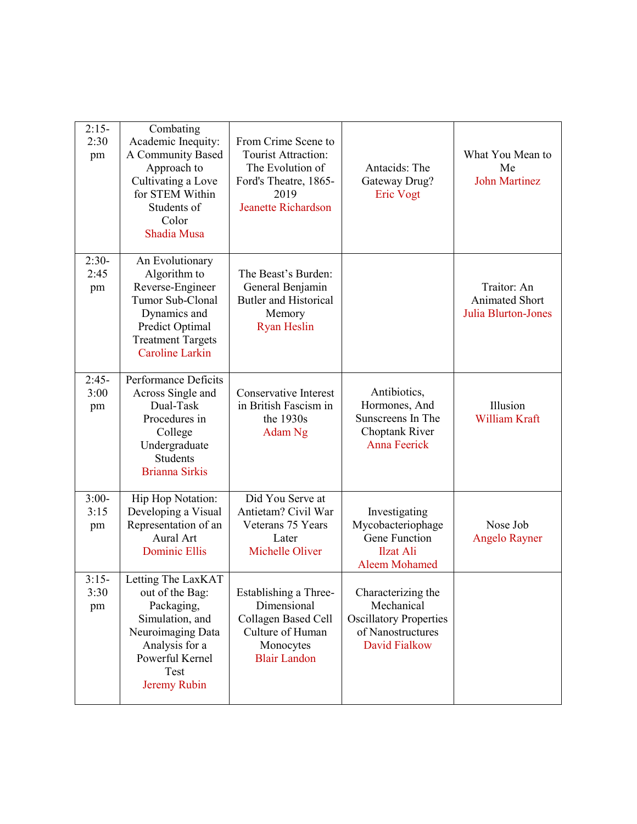| $2:15-$<br>2:30<br>pm | Combating<br>Academic Inequity:<br>A Community Based<br>Approach to<br>Cultivating a Love<br>for STEM Within<br>Students of<br>Color<br>Shadia Musa              | From Crime Scene to<br>Tourist Attraction:<br>The Evolution of<br>Ford's Theatre, 1865-<br>2019<br><b>Jeanette Richardson</b> | Antacids: The<br>Gateway Drug?<br><b>Eric Vogt</b>                                                             | What You Mean to<br>Me<br><b>John Martinez</b>                     |
|-----------------------|------------------------------------------------------------------------------------------------------------------------------------------------------------------|-------------------------------------------------------------------------------------------------------------------------------|----------------------------------------------------------------------------------------------------------------|--------------------------------------------------------------------|
| $2:30-$<br>2:45<br>pm | An Evolutionary<br>Algorithm to<br>Reverse-Engineer<br>Tumor Sub-Clonal<br>Dynamics and<br>Predict Optimal<br><b>Treatment Targets</b><br><b>Caroline Larkin</b> | The Beast's Burden:<br>General Benjamin<br><b>Butler and Historical</b><br>Memory<br><b>Ryan Heslin</b>                       |                                                                                                                | Traitor: An<br><b>Animated Short</b><br><b>Julia Blurton-Jones</b> |
| $2:45-$<br>3:00<br>pm | Performance Deficits<br>Across Single and<br>Dual-Task<br>Procedures in<br>College<br>Undergraduate<br><b>Students</b><br><b>Brianna Sirkis</b>                  | <b>Conservative Interest</b><br>in British Fascism in<br>the 1930s<br>Adam Ng                                                 | Antibiotics,<br>Hormones, And<br>Sunscreens In The<br>Choptank River<br><b>Anna Feerick</b>                    | Illusion<br>William Kraft                                          |
| $3:00-$<br>3:15<br>pm | Hip Hop Notation:<br>Developing a Visual<br>Representation of an<br>Aural Art<br><b>Dominic Ellis</b>                                                            | Did You Serve at<br>Antietam? Civil War<br>Veterans 75 Years<br>Later<br>Michelle Oliver                                      | Investigating<br>Mycobacteriophage<br>Gene Function<br><b>Ilzat Ali</b><br><b>Aleem Mohamed</b>                | Nose Job<br><b>Angelo Rayner</b>                                   |
| $3:15-$<br>3:30<br>pm | Letting The LaxKAT<br>out of the Bag:<br>Packaging,<br>Simulation, and<br>Neuroimaging Data<br>Analysis for a<br>Powerful Kernel<br>Test<br>Jeremy Rubin         | Establishing a Three-<br>Dimensional<br>Collagen Based Cell<br>Culture of Human<br>Monocytes<br><b>Blair Landon</b>           | Characterizing the<br>Mechanical<br><b>Oscillatory Properties</b><br>of Nanostructures<br><b>David Fialkow</b> |                                                                    |